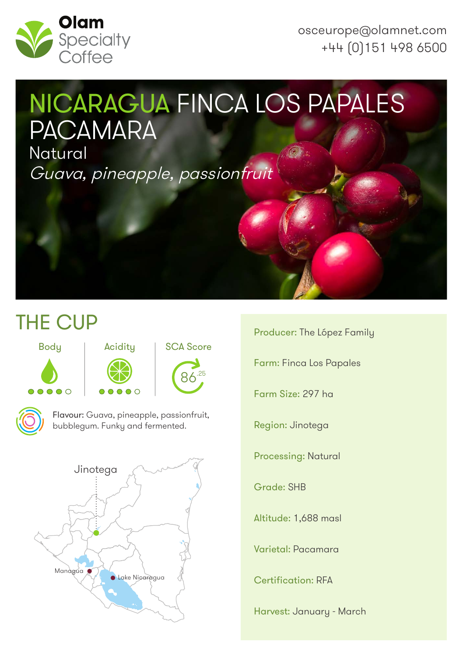

osceurope@olamnet.com +44 (0)151 498 6500

# NICARAGUA FINCA LOS PAPALES PACAMARA

**Natural** Guava, pineapple, passionfruit

# THE CUP









Flavour: Guava, pineapple, passionfruit, bubblegum. Funky and fermented.

 $\bigcap$ 



Producer: The López Family Farm: Finca Los Papales Farm Size: 297 ha Region: Jinotega Processing: Natural Grade: SHB Altitude: 1,688 masl

Varietal: Pacamara

Certification: RFA

Harvest: January - March